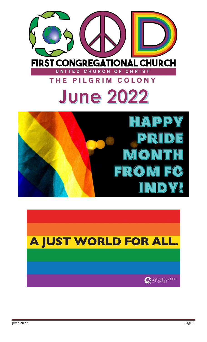



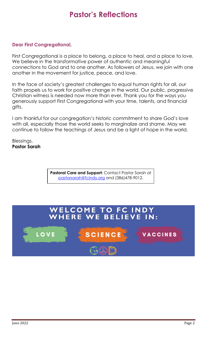# **Pastor's Reflections**

### **Dear First Congregational,**

First Congregational is a place to belong, a place to heal, and a place to love. We believe in the transformative power of authentic and meaningful connections to God and to one another. As followers of Jesus, we join with one another in the movement for justice, peace, and love.

In the face of society's greatest challenges to equal human rights for all, our faith propels us to work for positive change in the world. Our public, progressive Christian witness is needed now more than ever. Thank you for the ways you generously support First Congregational with your time, talents, and financial gifts.

I am thankful for our congregation's historic commitment to share God's love with all, especially those the world seeks to marginalize and shame. May we continue to follow the teachings of Jesus and be a light of hope in the world.

Blessings, **Pastor Sarah**

> **Pastoral Care and Support:** Contact Pastor Sarah at [pastorsarah@fcindy.org](mailto:pastorsarah@fcindy.org) and (386)478-9012.

#### **WELCOME TO FC INDY** WHERE WE BELIEVE **IN:**

**SCIENCE** 

**LOVE** 

VACCINES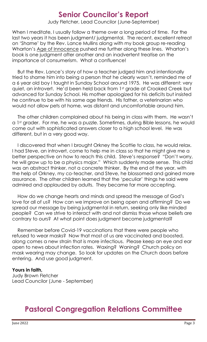# **Senior Councilor's Report**

Judy Fletcher, Lead Councilor (June-September)

When I meditate, I usually follow a theme over a long period of time. For the last two years it has been judgment/ judgmental. The recent, excellent retreat on 'Shame' by the Rev. Lance Mullins along with my book group re-reading Wharton's Age of Innocence pushed me further along these lines. Wharton's book is one judgment after another and an inadvertent treatise on the importance of consumerism. What a confluence!

 But the Rev. Lance's story of how a teacher judged him and intentionally tried to shame him into being a person that he clearly wasn't, reminded me of a 6 year old boy I taught in Sunday School around 1975. He was different: very quiet, an introvert. He'd been held back from 1st grade at Crooked Creek but advanced for Sunday School. His mother apologized for his deficits but insisted he continue to be with his same age friends. His father, a veterinarian who would not allow pets at home, was distant and uncomfortable around him.

 The other children complained about his being in class with them. He wasn't a 1st grader. For me, he was a puzzle. Sometimes, during Bible lessons, he would come out with sophisticated answers closer to a high school level. He was different, but in a very good way.

 I discovered that when I brought Orkney the Scottie to class, he would relax. I had Steve, an introvert, come to help me in class so that he might give me a better perspective on how to reach this child. Steve's response? "Don't worry, he will grow up to be a physics major." Which suddenly made sense. This child was an abstract thinker, not a concrete thinker. By the end of the year, with the help of Orkney, my co-teacher, and Steve, he blossomed and gained more assurance. The other children learned that the 'peculiar' things he said were admired and applauded by adults. They became far more accepting.

 How do we change hearts and minds and spread the message of God's love for all of us? How can we improve on being open and affirming? Do we spread our message by being judgmental in return, seeking only like minded people? Can we strive to interact with and not dismiss those whose beliefs are contrary to ours? At what point does judgment become judgmental?

 Remember before Covid-19 vaccinations that there were people who refused to wear masks? Now that most of us are vaccinated and boosted, along comes a new strain that is more infectious. Please keep an eye and ear open to news about infection rates. Waxing? Waning? Church policy on mask wearing may change. So look for updates on the Church doors before entering. And use good judgment.

#### **Yours in faith,**

Judy Brown Fletcher Lead Councilor (June - September)

### **Pastoral Congregation Relations Committee**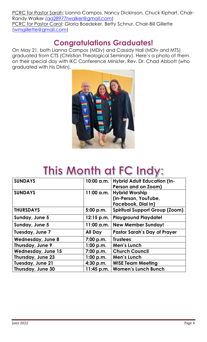PCRC for Pastor Sarah: Lianna Campos, Nancy Dickinson, Chuck Kiphart, Chair-Randy Walker [\(aa28977rwalker@gmail.com\)](mailto:aa28977rwalker@gmail.com) PCRC for Pastor Carol: Gloria Boedeker, Betty Schnur, Chair-Bill Gillette [\(wmgillette@gmail.com\)](mailto:wmgillette@gmail.com)

### **Congratulations Graduates!**

On May 21, both Lianna Campos (MDiv) and Cassidy Hall (MDiv and MTS) graduated from CTS (Christian Theological Seminary). Here's a photo of them on their special day with IKC Conference Minister, Rev. Dr. Chad Abbott (who graduated with his DMin).



# **This Month at FC Indy:**

| <b>SUNDAYS</b>            | 10:00 a.m.   | <b>Hybrid Adult Education (In-</b>    |  |
|---------------------------|--------------|---------------------------------------|--|
|                           |              | Person and on Zoom)                   |  |
| <b>SUNDAYS</b>            | 11:00 a.m.   | <b>Hybrid Worship</b>                 |  |
|                           |              | (In-Person, YouTube,                  |  |
|                           |              | Facebook, Dial In)                    |  |
| <b>THURSDAYS</b>          | 5:00 p.m.    | <b>Spiritual Support Group (Zoom)</b> |  |
| Sunday, June 5            | $12:15$ p.m. | <b>Playground Playdate!</b>           |  |
| Sunday, June 5            | 11:00 a.m.   | <b>New Member Sunday!</b>             |  |
| Tuesday, June 7           | All Day      | <b>Pastor Sarah's Day of Prayer</b>   |  |
| <b>Wednesday, June 8</b>  | 7:00 p.m.    | <b>Trustees</b>                       |  |
| Thursday, June 9          | 1:00 p.m.    | Men's Lunch                           |  |
| <b>Wednesday, June 15</b> | 7:00 p.m.    | <b>Church Council</b>                 |  |
| Thursday, June 23         | 1:00 p.m.    | Men's Lunch                           |  |
| <b>Tuesday, June 21</b>   | 4:30 p.m.    | <b>WISE Team Meeting</b>              |  |
| Thursday, June 30         | 11:45 p.m.   | <b>Women's Lunch Bunch</b>            |  |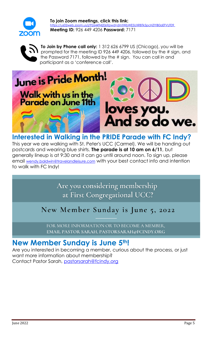

**To join Zoom meetings, click this link:** <https://us02web.zoom.us/j/9264494206?pwd=dmtWbWE5UXRBTk5pcHZlYlB0aEFVUT09> **Meeting ID:** 926 449 4206 **Password:** 7171



**To Join by Phone call only:** 1 312 626 6799 US (Chicago), you will be prompted for the meeting ID 926 449 4206, followed by the # sign, and the Password 7171, followed by the # sign. You can call in and participant as a 'conference call'.



### **Interested in Walking in the PRIDE Parade with FC Indy?**

This year we are walking with St. Peter's UCC (Carmel). We will be handing out postcards and wearing blue shirts. **The parade is at 10 am on 6/11**, but generally lineup is at 9:30 and it can go until around noon. To sign up, please email [wendy.baldwin@travelandleisure.com](mailto:wendy.baldwin@travelandleisure.com) with your best contact info and intention to walk with FC Indy!

> Are you considering membership at First Congregational UCC?

# New Member Sunday is June 5, 2022

FOR MORE INFORMATION OR TO BECOME A MEMBER, EMAIL PASTOR SARAH, PASTORSARAH@FCINDY.ORG

### **New Member Sunday is June 5th!**

Are you interested in becoming a member, curious about the process, or just want more information about membership? Contact Pastor Sarah, [pastorsarah@fcindy.org](mailto:pastorsarah@fcindy.org)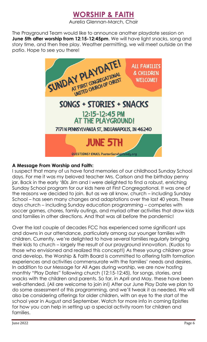

The Prayground Team would like to announce another playdate session on **June 5th after worship from 12:15-12:45pm**. We will have light snacks, song and story time, and then free play. Weather permitting, we will meet outside on the patio. Hope to see you there!



### **A Message From Worship and Faith:**

I suspect that many of us have fond memories of our childhood Sunday School days. For me it was my beloved teacher Mrs. Carlson and the birthday penny jar. Back in the early '80s Jim and I were delighted to find a robust, enriching Sunday School program for our kids here at First Congregational. It was one of the reasons we decided to join. But as we all know, church – including Sunday School – has seen many changes and adaptations over the last 40 years. These days church – including Sunday education programming – competes with soccer games, chores, family outings, and myriad other activities that draw kids and families in other directions. And that was all before the pandemic!

Over the last couple of decades FCC has experienced some significant ups and downs in our attendance, particularly among our younger families with children. Currently, we're delighted to have several families regularly bringing their kids to church – largely the result of our prayground innovation. (Kudos to those who envisioned and realized this concept!) As these young children grow and develop, the Worship & Faith Board is committed to offering faith formation experiences and activities commensurate with the families' needs and desires. In addition to our Message for All Ages during worship, we are now hosting monthly "Play Dates" following church (12:15-12:45), for songs, stories, and snacks with the children and parents. So far, in April and May, these have been well-attended. (All are welcome to join in!) After our June Play Date we plan to do some assessment of this programming, and we'll tweak it as needed. We will also be considering offerings for older children, with an eye to the start of the school year in August and September. Watch for more info in coming Epistles for how you can help in setting up a special activity room for children and families.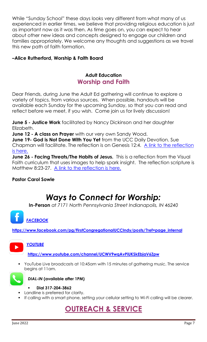While "Sunday School" these days looks very different from what many of us experienced in earlier times, we believe that providing religious education is just as important now as it was then. As time goes on, you can expect to hear about other new ideas and concepts designed to engage our children and families appropriately. We welcome any thoughts and suggestions as we travel this new path of faith formation.

### **–Alice Rutherford, Worship & Faith Board**

### **Adult Education Worship and Faith**

Dear Friends, during June the Adult Ed gathering will continue to explore a variety of topics, from various sources. When possible, handouts will be available each Sunday for the upcoming Sunday, so that you can read and reflect before we meet, if you wish. Come join us for lively discussion!

**June 5 - Justice Work** facilitated by Nancy Dickinson and her daughter Elizabeth.

**June 12 - A class on Prayer** with our very own Sandy Wood.

**June 19- God is Not Done With You Yet** from the UCC Daily Devotion. Sue Chapman will facilitate. The reflection is on Genesis 12:4. [A link to the](https://fcindy.org/mt-content/uploads/2022/05/gods-not-done-with-you-yet-united-church-of-christ.pdf) reflection [is here.](https://fcindy.org/mt-content/uploads/2022/05/gods-not-done-with-you-yet-united-church-of-christ.pdf)

**June 26 - Facing Threats/The Habits of Jesus.** This is a reflection from the Visual Faith curriculum that uses images to help spark insight. The reflection scripture is Matthew 8:23-27. [A link to the reflection is here.](https://fcindy.org/mt-content/uploads/2022/05/facing-threats_628bcb0581c12.pdf)

### **Pastor Carol Sowle**

# *Ways to Connect for Worship:*

**In-Person** *at 7171 North Pennsylvania Street Indianapolis, IN 46240*

### *[FACEBOOK](https://www.facebook.com/pg/FirstCongregationalUCCIndy/posts/?ref=page_internal)*

**[https://www.facebook.com/pg/FirstCongregationalUCCIndy/posts/?ref=page\\_internal](https://www.facebook.com/pg/FirstCongregationalUCCIndy/posts/?ref=page_internal)**



### *[YOUTUBE](https://www.youtube.com/channel/UCWV9wqAvPiUKSkEbjaV6Zpw)*

**<https://www.youtube.com/channel/UCWV9wqAvPiUKSkEbjaV6Zpw>**

YouTube Live broadcasts at 10:45am with 15 minutes of gathering music. The service begins at 11am.



*DIAL-IN* **(available after 1PM)**

- **Dial 317-204-3862**
- Landline is preferred for clarity.
- If calling with a smart phone, setting your cellular setting to Wi-Fi calling will be clearer.

# **OUTREACH & SERVICE**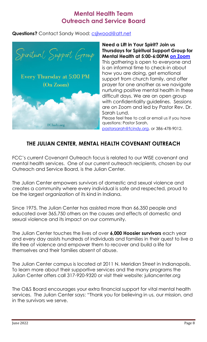### **Mental Health Team Outreach and Service Board**

### **Questions?** Contact Sandy Wood: csilwood@att.net



**Need a Lift in Your Spirit? Join us Thursdays for Spiritual Support Group for Mental Health at 5:00-6:00PM [on Zoom](https://us02web.zoom.us/j/9264494206?pwd=dmtWbWE5UXRBTk5pcHZlYlB0aEFVUT09)** This gathering is open to everyone and is an informal time to check-in about how you are doing, get emotional support from church family, and offer prayer for one another as we navigate nurturing positive mental health in these difficult days. We are an open group with confidentiality guidelines. Sessions are on Zoom and led by Pastor Rev. Dr. Sarah Lund. Please feel free to call or email us if you have questions: Pastor Sarah,

[pastorsarah@fcindy.org,](mailto:pastorsarah@fcindy.org) or 386-478-9012.

### **THE JULIAN CENTER, MENTAL HEALTH COVENANT OUTREACH**

FCC's current Covenant Outreach focus is related to our WISE covenant and mental health services. One of our current outreach recipients, chosen by our Outreach and Service Board, is the Julian Center.

The Julian Center empowers survivors of domestic and sexual violence and creates a community where every individual is safe and respected, proud to be the largest organization of its kind in Indiana.

Since 1975, The Julian Center has assisted more than 66,350 people and educated over 365,750 others on the causes and effects of domestic and sexual violence and its impact on our community.

The Julian Center touches the lives of over **6,000 Hoosier survivors** each year and every day assists hundreds of individuals and families in their quest to live a life free of violence and empower them to recover and build a life for themselves and their families absent of abuse.

The Julian Center campus is located at 2011 N. Meridian Street in Indianapolis. To learn more about their supportive services and the many programs the Julian Center offers call 317-920-9320 or visit their website: juliancenter.org

The O&S Board encourages your extra financial support for vital mental health services. The Julian Center says: "Thank you for believing in us, our mission, and in the survivors we serve.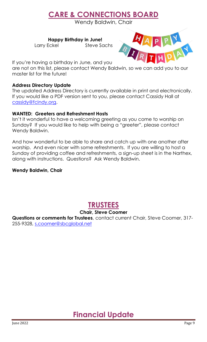# **CARE & CONNECTIONS BOARD**

Wendy Baldwin, Chair

 **Happy Birthday in June!**

Larry Eckel Steve Sachs



If you're having a birthday in June, and you

are not on this list, please contact Wendy Baldwin, so we can add you to our master list for the future!

#### **Address Directory Update**

The updated Address Directory is currently available in print and electronically. If you would like a PDF version sent to you, please contact Cassidy Hall at [cassidy@fcindy.org.](mailto:cassidy@fcindy.org)

### **WANTED: Greeters and Refreshment Hosts**

Isn't it wonderful to have a welcoming greeting as you come to worship on Sunday? If you would like to help with being a "greeter", please contact Wendy Baldwin.

And how wonderful to be able to share and catch up with one another after worship. And even nicer with some refreshments. If you are willing to host a Sunday of providing coffee and refreshments, a sign-up sheet is in the Narthex, along with instructions. Questions? Ask Wendy Baldwin.

### **Wendy Baldwin, Chair**

### **TRUSTEES**

### **Chair, Steve Coomer**

**Questions or comments for Trustees**, contact current Chair, Steve Coomer, 317- 255-9328, [s.coomer@sbcglobal.net](mailto:s.coomer@sbcglobal.net)

# **Financial Update**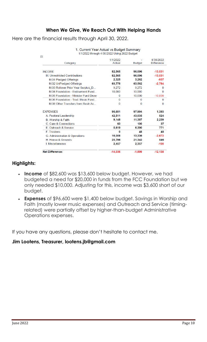### **When We Give, We Reach Out With Helping Hands**

Here are the financial results through April 30, 2022.

| 1/1/2022 through 4/30/2022 Using 2022 Budget |                    |               |                                |
|----------------------------------------------|--------------------|---------------|--------------------------------|
| 22<br>Category                               | 1/1/2022<br>Actual | <b>Budget</b> | 4/30/2022<br><b>Difference</b> |
| <b>INCOME</b>                                | 82,565             | 96,096        | $-13,531$                      |
| M. Unrestricted Contributions                | 82,565             | 96,096        | $-13,531$                      |
|                                              |                    |               | $-937$                         |
| M.01 Pledged Offerings                       | 2,325              | 3,262         |                                |
| M.02 UnPledged Offerings                     | 60,778             | 63,562        | $-2,784$                       |
| M.03 Rollover Prior Year Surplus D           | 9,272              | 9,272         | $\Omega$                       |
| M.04 Foundation - Endowment Fund             | 10,000             | 10,000        | 0                              |
| M.05 Foundation - Minister Fund Draw         | 0                  | 10,000        | $-10,000$                      |
| M.06 Foundation - Trad. Music Fund           | O                  | $\Omega$      | n                              |
| M.08 Other Transfers from Restr Ac           | 0                  | 0             | 0                              |
| <b>EXPENSES</b>                              | 96,601             | 97,994        | 1,393                          |
| A. Pastoral Leadership                       | 42,511             | 43,035        | 524                            |
| B. Worship & Faith                           | 9,148              | 11,387        | 2,239                          |
| C. Care & Connections                        | 63                 | 100           | 37                             |
| E. Outreach & Service                        | 5,619              | 6,390         | 771                            |
| F. Trustees                                  | $\bf{0}$           | 48            | 48                             |
| G. Administration & Operations               | 16,008             | 13,336        | $-2.672$                       |
| <b>H</b> House & Grounds                     | 20,796             | 21,342        | 546                            |
| I. Miscellaneous                             | 2,457              | 2,357         | $-100$                         |
| <b>Net Difference:</b>                       | $-14,036$          | $-1.899$      | $-12.138$                      |

1. Current Year Actual vs Budget Summary

### **Highlights:**

- **Income** of \$82,600 was \$13,600 below budget. However, we had budgeted a need for \$20,000 in funds from the FCC Foundation but we only needed \$10,000. Adjusting for this, income was \$3,600 short of our budget.
- **Expenses** of \$96,600 were \$1,400 below budget. Savings in Worship and Faith (mostly lower music expenses) and Outreach and Service (timingrelated) were partially offset by higher-than-budget Administrative Operations expenses.

If you have any questions, please don't hesitate to contact me.

### **Jim Lootens, Treasurer, lootens.jb@gmail.com**